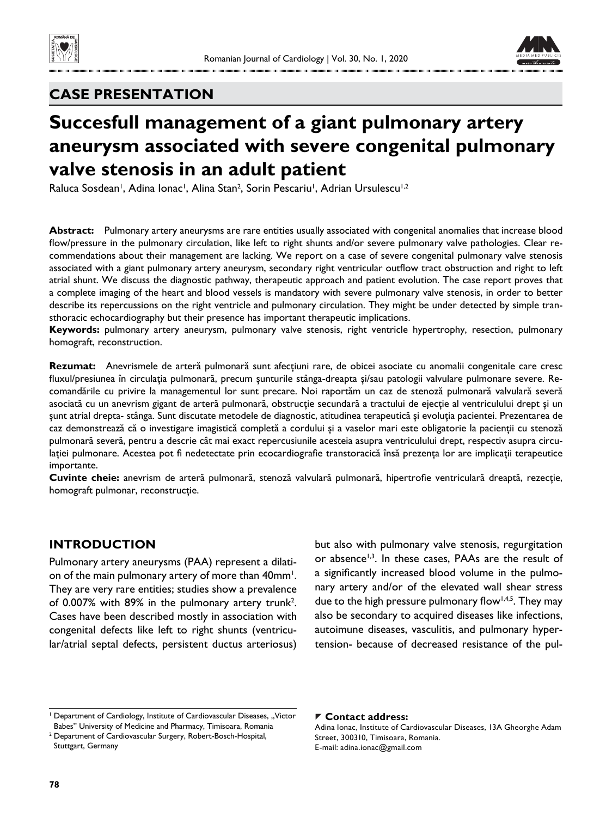



# **CASE PRESENTATION**

# **Succesfull management of a giant pulmonary artery aneurysm associated with severe congenital pulmonary valve stenosis in an adult patient**

Raluca Sosdean<sup>i</sup>, Adina Ionac<sup>i</sup>, Alina Stan<sup>2</sup>, Sorin Pescariu<sup>i</sup>, Adrian Ursulescu<sup>i,2</sup>

**Abstract:** Pulmonary artery aneurysms are rare entities usually associated with congenital anomalies that increase blood flow/pressure in the pulmonary circulation, like left to right shunts and/or severe pulmonary valve pathologies. Clear recommendations about their management are lacking. We report on a case of severe congenital pulmonary valve stenosis associated with a giant pulmonary artery aneurysm, secondary right ventricular outflow tract obstruction and right to left atrial shunt. We discuss the diagnostic pathway, therapeutic approach and patient evolution. The case report proves that a complete imaging of the heart and blood vessels is mandatory with severe pulmonary valve stenosis, in order to better describe its repercussions on the right ventricle and pulmonary circulation. They might be under detected by simple transthoracic echocardiography but their presence has important therapeutic implications.

**Keywords:** pulmonary artery aneurysm, pulmonary valve stenosis, right ventricle hypertrophy, resection, pulmonary homograft, reconstruction.

**Rezumat:** Anevrismele de arteră pulmonară sunt afecţiuni rare, de obicei asociate cu anomalii congenitale care cresc fluxul/presiunea în circulația pulmonară, precum șunturile stânga-dreapta și/sau patologii valvulare pulmonare severe. Recomandările cu privire la managementul lor sunt precare. Noi raportăm un caz de stenoză pulmonară valvulară severă asociată cu un anevrism gigant de arteră pulmonară, obstrucţie secundară a tractului de ejecţie al ventriculului drept şi un şunt atrial drepta- stânga. Sunt discutate metodele de diagnostic, atitudinea terapeutică şi evoluţia pacientei. Prezentarea de caz demonstrează că o investigare imagistică completă a cordului şi a vaselor mari este obligatorie la pacienţii cu stenoză pulmonară severă, pentru a descrie cât mai exact repercusiunile acesteia asupra ventriculului drept, respectiv asupra circulației pulmonare. Acestea pot fi nedetectate prin ecocardiografie transtoracică însă prezența lor are implicații terapeutice importante.

Cuvinte cheie: anevrism de arteră pulmonară, stenoză valvulară pulmonară, hipertrofie ventriculară dreaptă, rezecție, homograft pulmonar, reconstrucţie.

## **INTRODUCTION**

Pulmonary artery aneurysms (PAA) represent a dilation of the main pulmonary artery of more than 40mm<sup>1</sup>. They are very rare entities; studies show a prevalence of 0.007% with 89% in the pulmonary artery trunk<sup>2</sup>. Cases have been described mostly in association with congenital defects like left to right shunts (ventricular/atrial septal defects, persistent ductus arteriosus)

but also with pulmonary valve stenosis, regurgitation or absence<sup>1,3</sup>. In these cases, PAAs are the result of a significantly increased blood volume in the pulmonary artery and/or of the elevated wall shear stress due to the high pressure pulmonary flow<sup>1,4,5</sup>. They may also be secondary to acquired diseases like infections, autoimune diseases, vasculitis, and pulmonary hypertension- because of decreased resistance of the pul-

#### **Contact address:**

<sup>&</sup>lt;sup>1</sup> Department of Cardiology, Institute of Cardiovascular Diseases, "Victor Babes" University of Medicine and Pharmacy, Timisoara, Romania

<sup>2</sup> Department of Cardiovascular Surgery, Robert-Bosch-Hospital, Stuttgart, Germany

Adina Ionac, Institute of Cardiovascular Diseases, 13A Gheorghe Adam Street, 300310, Timisoara, Romania. E-mail: adina.ionac@gmail.com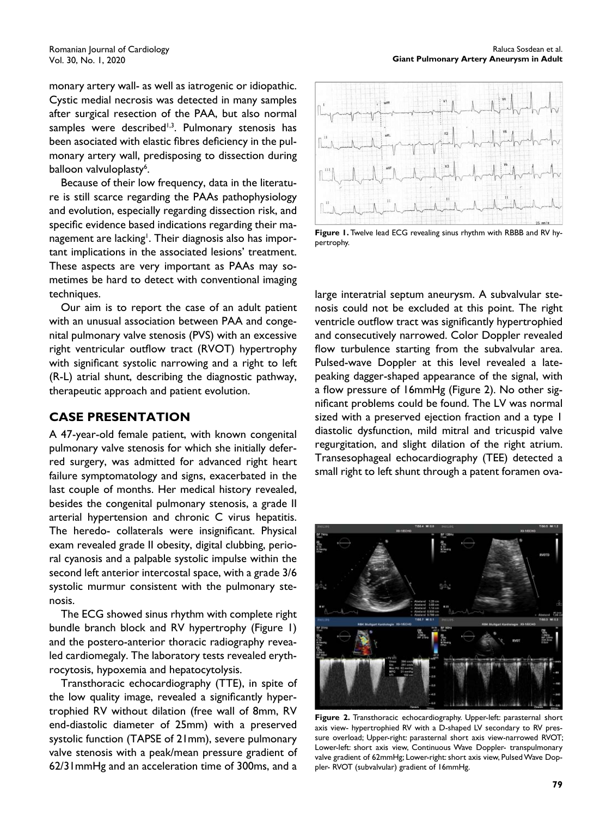monary artery wall- as well as iatrogenic or idiopathic. Cystic medial necrosis was detected in many samples after surgical resection of the PAA, but also normal samples were described $1,3$ . Pulmonary stenosis has been asociated with elastic fibres deficiency in the pulmonary artery wall, predisposing to dissection during balloon valvuloplasty<sup>6</sup>.

Because of their low frequency, data in the literature is still scarce regarding the PAAs pathophysiology and evolution, especially regarding dissection risk, and specific evidence based indications regarding their management are lacking<sup>1</sup>. Their diagnosis also has important implications in the associated lesions' treatment. These aspects are very important as PAAs may sometimes be hard to detect with conventional imaging techniques.

Our aim is to report the case of an adult patient with an unusual association between PAA and congenital pulmonary valve stenosis (PVS) with an excessive right ventricular outflow tract (RVOT) hypertrophy with significant systolic narrowing and a right to left (R-L) atrial shunt, describing the diagnostic pathway, therapeutic approach and patient evolution.

#### **CASE PRESENTATION**

A 47-year-old female patient, with known congenital pulmonary valve stenosis for which she initially deferred surgery, was admitted for advanced right heart failure symptomatology and signs, exacerbated in the last couple of months. Her medical history revealed, besides the congenital pulmonary stenosis, a grade II arterial hypertension and chronic C virus hepatitis. The heredo- collaterals were insignificant. Physical exam revealed grade II obesity, digital clubbing, perioral cyanosis and a palpable systolic impulse within the second left anterior intercostal space, with a grade 3/6 systolic murmur consistent with the pulmonary stenosis.

The ECG showed sinus rhythm with complete right bundle branch block and RV hypertrophy (Figure 1) and the postero-anterior thoracic radiography revealed cardiomegaly. The laboratory tests revealed erythrocytosis, hypoxemia and hepatocytolysis.

Transthoracic echocardiography (TTE), in spite of the low quality image, revealed a significantly hypertrophied RV without dilation (free wall of 8mm, RV end-diastolic diameter of 25mm) with a preserved systolic function (TAPSE of 21mm), severe pulmonary valve stenosis with a peak/mean pressure gradient of 62/31mmHg and an acceleration time of 300ms, and a



**Figure 1.** Twelve lead ECG revealing sinus rhythm with RBBB and RV hypertrophy.

large interatrial septum aneurysm. A subvalvular stenosis could not be excluded at this point. The right ventricle outflow tract was significantly hypertrophied and consecutively narrowed. Color Doppler revealed flow turbulence starting from the subvalvular area. Pulsed-wave Doppler at this level revealed a latepeaking dagger-shaped appearance of the signal, with a flow pressure of 16mmHg (Figure 2). No other significant problems could be found. The LV was normal sized with a preserved ejection fraction and a type 1 diastolic dysfunction, mild mitral and tricuspid valve regurgitation, and slight dilation of the right atrium. Transesophageal echocardiography (TEE) detected a small right to left shunt through a patent foramen ova-



**Figure 2.** Transthoracic echocardiography. Upper-left: parasternal short axis view- hypertrophied RV with a D-shaped LV secondary to RV pressure overload; Upper-right: parasternal short axis view-narrowed RVOT; Lower-left: short axis view, Continuous Wave Doppler- transpulmonary valve gradient of 62mmHg; Lower-right: short axis view, Pulsed Wave Doppler- RVOT (subvalvular) gradient of 16mmHg.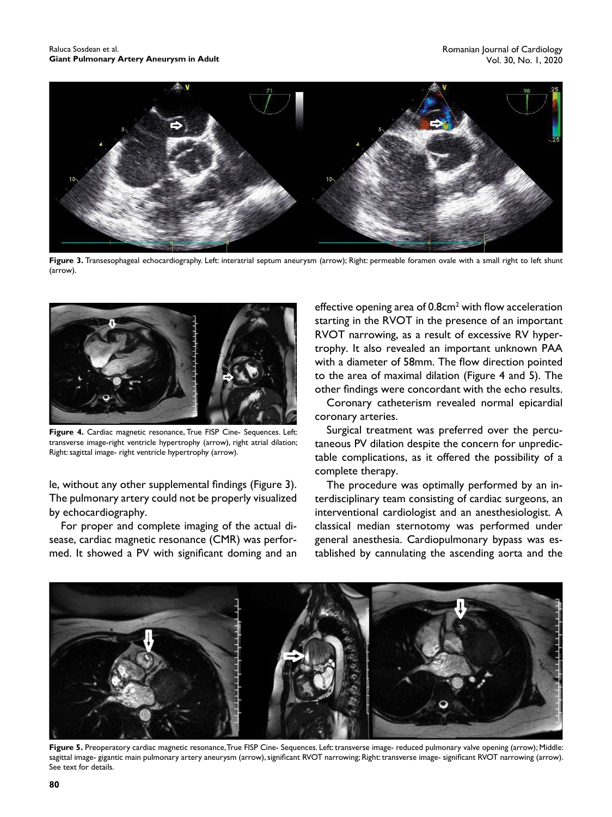

**Figure 3.** Transesophageal echocardiography. Left: interatrial septum aneurysm (arrow); Right: permeable foramen ovale with a small right to left shunt (arrow).



**Figure 4.** Cardiac magnetic resonance, True FISP Cine- Sequences. Left: transverse image-right ventricle hypertrophy (arrow), right atrial dilation; Right: sagittal image- right ventricle hypertrophy (arrow).

le, without any other supplemental findings (Figure 3). The pulmonary artery could not be properly visualized by echocardiography.

For proper and complete imaging of the actual disease, cardiac magnetic resonance (CMR) was performed. It showed a PV with significant doming and an

effective opening area of  $0.8$ cm<sup>2</sup> with flow acceleration starting in the RVOT in the presence of an important RVOT narrowing, as a result of excessive RV hypertrophy. It also revealed an important unknown PAA with a diameter of 58mm. The flow direction pointed to the area of maximal dilation (Figure 4 and 5). The other findings were concordant with the echo results.

Coronary catheterism revealed normal epicardial coronary arteries.

Surgical treatment was preferred over the percutaneous PV dilation despite the concern for unpredictable complications, as it offered the possibility of a complete therapy.

The procedure was optimally performed by an interdisciplinary team consisting of cardiac surgeons, an interventional cardiologist and an anesthesiologist. A classical median sternotomy was performed under general anesthesia. Cardiopulmonary bypass was established by cannulating the ascending aorta and the



**Figure 5.** Preoperatory cardiac magnetic resonance, True FISP Cine- Sequences. Left: transverse image- reduced pulmonary valve opening (arrow); Middle: sagittal image- gigantic main pulmonary artery aneurysm (arrow), significant RVOT narrowing; Right: transverse image- significant RVOT narrowing (arrow). See text for details.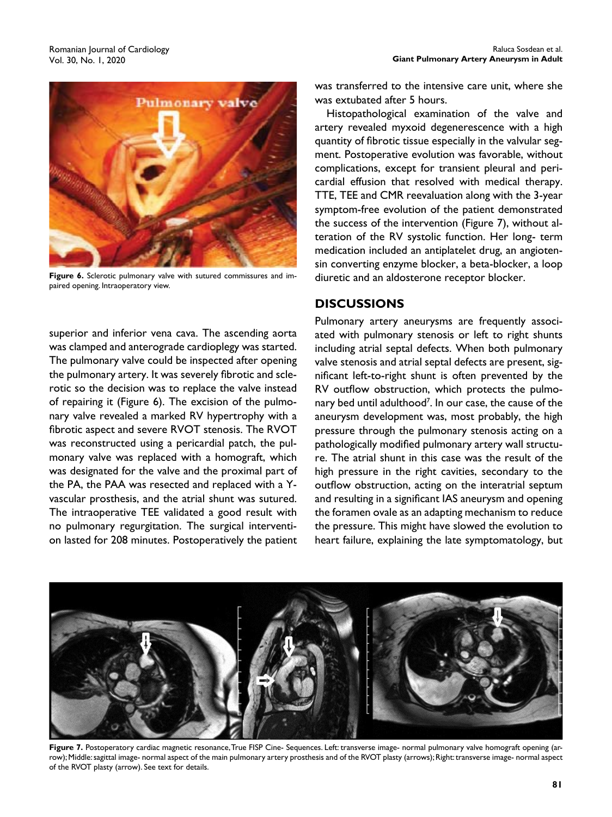

**Figure 6.** Sclerotic pulmonary valve with sutured commissures and impaired opening. Intraoperatory view.

superior and inferior vena cava. The ascending aorta was clamped and anterograde cardioplegy was started. The pulmonary valve could be inspected after opening the pulmonary artery. It was severely fibrotic and sclerotic so the decision was to replace the valve instead of repairing it (Figure 6). The excision of the pulmonary valve revealed a marked RV hypertrophy with a fibrotic aspect and severe RVOT stenosis. The RVOT was reconstructed using a pericardial patch, the pulmonary valve was replaced with a homograft, which was designated for the valve and the proximal part of the PA, the PAA was resected and replaced with a Yvascular prosthesis, and the atrial shunt was sutured. The intraoperative TEE validated a good result with no pulmonary regurgitation. The surgical intervention lasted for 208 minutes. Postoperatively the patient was transferred to the intensive care unit, where she was extubated after 5 hours.

Histopathological examination of the valve and artery revealed myxoid degenerescence with a high quantity of fibrotic tissue especially in the valvular segment. Postoperative evolution was favorable, without complications, except for transient pleural and pericardial effusion that resolved with medical therapy. TTE, TEE and CMR reevaluation along with the 3-year symptom-free evolution of the patient demonstrated the success of the intervention (Figure 7), without alteration of the RV systolic function. Her long- term medication included an antiplatelet drug, an angiotensin converting enzyme blocker, a beta-blocker, a loop diuretic and an aldosterone receptor blocker.

#### **DISCUSSIONS**

Pulmonary artery aneurysms are frequently associated with pulmonary stenosis or left to right shunts including atrial septal defects. When both pulmonary valve stenosis and atrial septal defects are present, significant left-to-right shunt is often prevented by the RV outflow obstruction, which protects the pulmonary bed until adulthood<sup>7</sup>. In our case, the cause of the aneurysm development was, most probably, the high pressure through the pulmonary stenosis acting on a pathologically modified pulmonary artery wall structure. The atrial shunt in this case was the result of the high pressure in the right cavities, secondary to the outflow obstruction, acting on the interatrial septum and resulting in a significant IAS aneurysm and opening the foramen ovale as an adapting mechanism to reduce the pressure. This might have slowed the evolution to heart failure, explaining the late symptomatology, but



Figure 7. Postoperatory cardiac magnetic resonance, True FISP Cine- Sequences. Left: transverse image- normal pulmonary valve homograft opening (arrow); Middle: sagittal image- normal aspect of the main pulmonary artery prosthesis and of the RVOT plasty (arrows); Right: transverse image- normal aspect of the RVOT plasty (arrow). See text for details.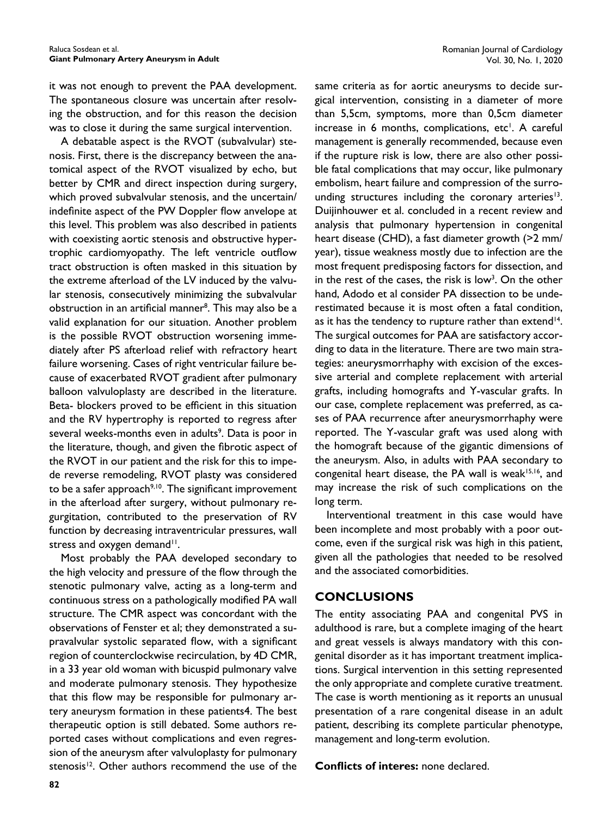it was not enough to prevent the PAA development. The spontaneous closure was uncertain after resolving the obstruction, and for this reason the decision was to close it during the same surgical intervention.

A debatable aspect is the RVOT (subvalvular) stenosis. First, there is the discrepancy between the anatomical aspect of the RVOT visualized by echo, but better by CMR and direct inspection during surgery, which proved subvalvular stenosis, and the uncertain/ indefinite aspect of the PW Doppler flow anvelope at this level. This problem was also described in patients with coexisting aortic stenosis and obstructive hypertrophic cardiomyopathy. The left ventricle outflow tract obstruction is often masked in this situation by the extreme afterload of the LV induced by the valvular stenosis, consecutively minimizing the subvalvular obstruction in an artificial manner<sup>8</sup>. This may also be a valid explanation for our situation. Another problem is the possible RVOT obstruction worsening immediately after PS afterload relief with refractory heart failure worsening. Cases of right ventricular failure because of exacerbated RVOT gradient after pulmonary balloon valvuloplasty are described in the literature. Beta- blockers proved to be efficient in this situation and the RV hypertrophy is reported to regress after several weeks-months even in adults<sup>9</sup>. Data is poor in the literature, though, and given the fibrotic aspect of the RVOT in our patient and the risk for this to impede reverse remodeling, RVOT plasty was considered to be a safer approach<sup>9,10</sup>. The significant improvement in the afterload after surgery, without pulmonary regurgitation, contributed to the preservation of RV function by decreasing intraventricular pressures, wall stress and oxygen demand<sup>11</sup>.

Most probably the PAA developed secondary to the high velocity and pressure of the flow through the stenotic pulmonary valve, acting as a long-term and continuous stress on a pathologically modified PA wall structure. The CMR aspect was concordant with the observations of Fenster et al; they demonstrated a supravalvular systolic separated flow, with a significant region of counterclockwise recirculation, by 4D CMR, in a 33 year old woman with bicuspid pulmonary valve and moderate pulmonary stenosis. They hypothesize that this flow may be responsible for pulmonary artery aneurysm formation in these patients4. The best therapeutic option is still debated. Some authors reported cases without complications and even regression of the aneurysm after valvuloplasty for pulmonary stenosis<sup>12</sup>. Other authors recommend the use of the

same criteria as for aortic aneurysms to decide surgical intervention, consisting in a diameter of more than 5,5cm, symptoms, more than 0,5cm diameter increase in 6 months, complications, etc<sup>1</sup>. A careful management is generally recommended, because even if the rupture risk is low, there are also other possible fatal complications that may occur, like pulmonary embolism, heart failure and compression of the surrounding structures including the coronary arteries<sup>13</sup>. Duijinhouwer et al. concluded in a recent review and analysis that pulmonary hypertension in congenital heart disease (CHD), a fast diameter growth (>2 mm/ year), tissue weakness mostly due to infection are the most frequent predisposing factors for dissection, and in the rest of the cases, the risk is low<sup>3</sup>. On the other hand, Adodo et al consider PA dissection to be underestimated because it is most often a fatal condition, as it has the tendency to rupture rather than extend<sup>14</sup>. The surgical outcomes for PAA are satisfactory according to data in the literature. There are two main strategies: aneurysmorrhaphy with excision of the excessive arterial and complete replacement with arterial grafts, including homografts and Y-vascular grafts. In our case, complete replacement was preferred, as cases of PAA recurrence after aneurysmorrhaphy were reported. The Y-vascular graft was used along with the homograft because of the gigantic dimensions of the aneurysm. Also, in adults with PAA secondary to congenital heart disease, the PA wall is weak<sup>15,16</sup>, and may increase the risk of such complications on the long term.

Interventional treatment in this case would have been incomplete and most probably with a poor outcome, even if the surgical risk was high in this patient, given all the pathologies that needed to be resolved and the associated comorbidities.

## **CONCLUSIONS**

The entity associating PAA and congenital PVS in adulthood is rare, but a complete imaging of the heart and great vessels is always mandatory with this congenital disorder as it has important treatment implications. Surgical intervention in this setting represented the only appropriate and complete curative treatment. The case is worth mentioning as it reports an unusual presentation of a rare congenital disease in an adult patient, describing its complete particular phenotype, management and long-term evolution.

**Conflicts of interes: none declared.**